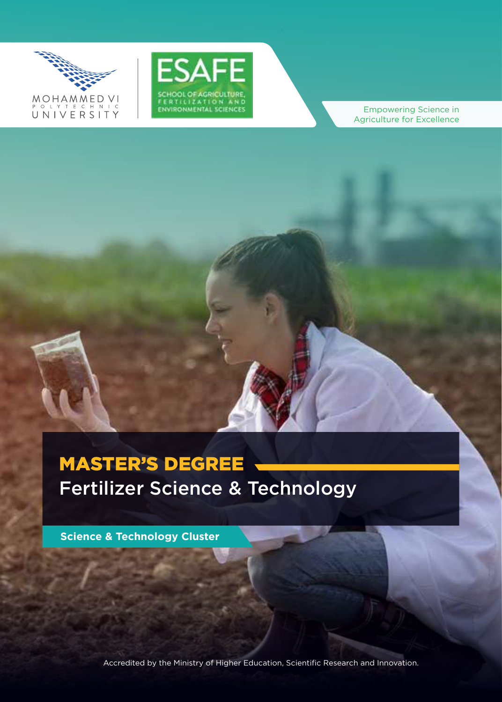



Empowering Science in Agriculture for Excellence

# **MASTER'S DEGREE** Fertilizer Science & Technology

**Science & Technology Cluster** 

Accredited by the Ministry of Higher Education, Scientific Research and Innovation.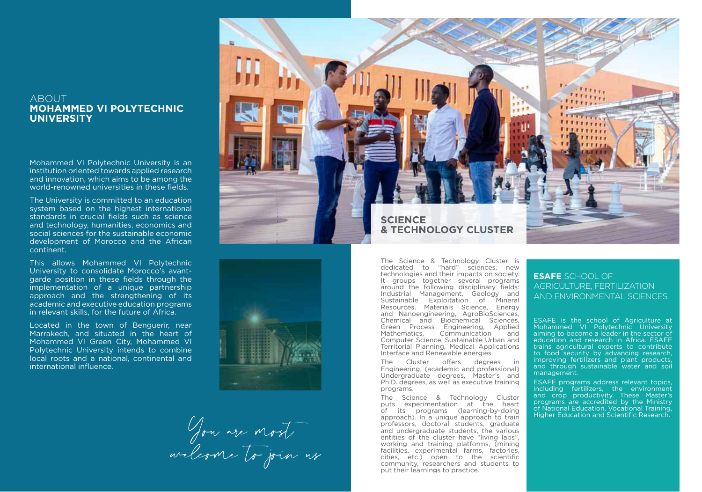## **ABOUT MOHAMMED VI POLYTECHNIC UNIVERSITY**

Mohammed VI Polytechnic University is an institution oriented towards applied research and innovation, which aims to be among the world-renowned universities in these fields.

The University is committed to an education system based on the highest international standards in crucial fields such as science and technology, humanities, economics and social sciences for the sustainable economic development of Morocco and the African .continent

This allows Mohammed VI Polytechnic aarde position in these fields through the University to consolidate Morocco's avantimplementation of a unique partnership approach and the strengthening of its academic and executive education programs in relevant skills, for the future of Africa.

Located in the town of Benguerir, near Marrakech, and situated in the heart of Mohammed VI Green City, Mohammed VI Polytechnic University intends to combine local roots and a national, continental and international influence.





Jou are most

The Science & Technology Cluster is dedicated to "hard" sciences, new technologies and their impacts on society. It groups together several programs around the following disciplinary fields: Industrial Management, Geology and Sustainable Exploitation of Mineral Resources, Materials Science, Energy and Nanoengineering, AgroBioSciences, Chemical and Biochemical Sciences, Green Process Engineering, Applied Mathematics. Communication and Computer Science, Sustainable Urban and Territorial Planning, Medical Applications Interface and Renewable energies.

The Cluster offers degrees in Engineering, (academic and professional) Undergraduate degrees, Master's and Ph.D. degrees, as well as executive training programs.

The Science & Technology Cluster puts experimentation at the heart of its programs (learning-by-doing approach). In a unique approach to train professors, doctoral students, graduate and undergraduate students, the various entities of the cluster have "living labs", working and training platforms, (mining horing with the remedial farms, factories, cities, etc.) open to the scientific community, researchers and students to put their learnings to practice.

### ESAFE SCHOOL OF AGRICULTURE FERTILIZATION AND FNVIRONMENTAL SCIENCES

ESAFE is the school of Agriculture at Mohammed VI Polytechnic University aiming to become a leader in the sector of education and research in Africa. ESAFE trains agricultural experts to contribute to food security by advancing research. improving fertilizers and plant products, and through sustainable water and soil management

ESAFE programs address relevant topics. including fertilizers, the environment and crop productivity. These Master's programs are accredited by the Ministry of National Education, Vocational Training, **Research Scientific Andrew Scientific Assearch.**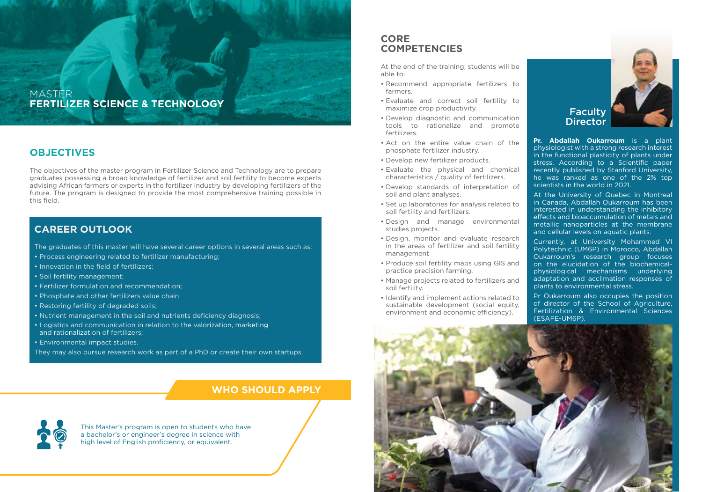### **MASTER FERTILIZER SCIENCE & TECHNOLOGY**

# **OBJECTIVES**

The objectives of the master program in Fertilizer Science and Technology are to prepare graduates possessing a broad knowledge of fertilizer and soil fertility to become experts advising African farmers or experts in the fertilizer industry by developing fertilizers of the future. The program is designed to provide the most comprehensive training possible in this field.

# **CAREER OUTLOOK**

The graduates of this master will have several career options in several areas such as:

- Process engineering related to fertilizer manufacturing;
- Innovation in the field of fertilizers;
- Soil fertility management:
- Fertilizer formulation and recommendation:
- Phosphate and other fertilizers value chain
- Restoring fertility of degraded soils;
- Nutrient management in the soil and nutrients deficiency diagnosis;
- Logistics and communication in relation to the valorization, marketing and rationalization of fertilizers:
- Environmental impact studies.
- They may also pursue research work as part of a PhD or create their own startups.

# **WHO SHOULD APPLY**

This Master's program is open to students who have a bachelor's or engineer's degree in science with high level of English proficiency, or equivalent.

# **CORE COMPETENCIES**

At the end of the training, students will be able to:

- Recommend appropriate fertilizers to .farmers
- Evaluate and correct soil fertility to maximize crop productivity.
- Develop diagnostic and communication tools to rationalize and promote .fertilizers
- Act on the entire value chain of the phosphate fertilizer industry.
- Develop new fertilizer products.
- Evaluate the physical and chemical characteristics  $\overline{\phantom{a}}$  auality of fertilizers.
- Develop standards of interpretation of soil and plant analyses.
- Set up laboratories for analysis related to soil fertility and fertilizers.
- Design and manage environmental studies projects.
- Design, monitor and evaluate research in the areas of fertilizer and soil fertility management
- Produce soil fertility maps using GIS and practice precision farming.
- Manage projects related to fertilizers and soil fertility.
- Identify and implement actions related to sustainable development (social equity, environment and economic efficiency).



**Pr. Abdallah Oukarroum** is a plant physiologist with a strong research interest in the functional plasticity of plants under stress. According to a Scientific paper recently published by Stanford University, he was ranked as one of the 2% top scientists in the world in 2021.

At the University of Quebec in Montreal in Canada, Abdallah Qukarroum has been interested in understanding the inhibitory effects and bioaccumulation of metals and metallic nanoparticles at the membrane and cellular levels on aquatic plants.

Currently, at University Mohammed VI Polytechnic (UM6P) in Morocco, Abdallah Oukarroum's research group focuses physiological mechanisms underlying on the elucidation of the biochemicaladaptation and acclimation responses of plants to environmental stress.

Pr Oukarroum also occupies the position of director of the School of Agriculture. Fertilization & Environmental Sciences (ESAFE-UM6P).

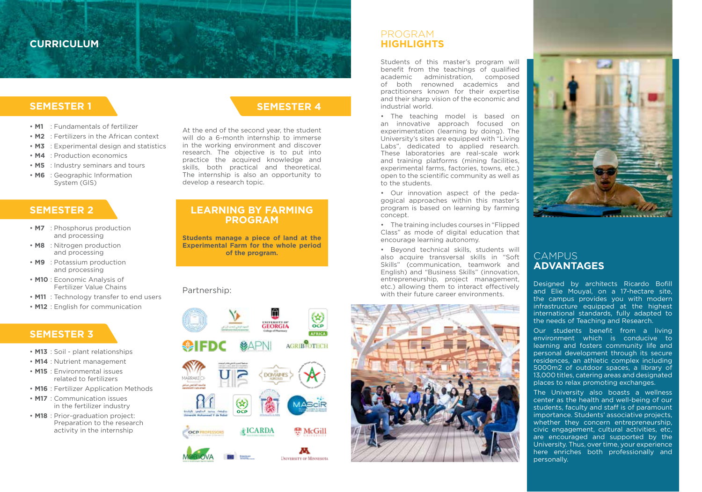# **CURRICULUM**

# **1 SEMESTER**

- M1 **· Fundamentals of fertilizer**
- **M2 Eartilizers in the African context**
- **M3** : Experimental design and statistics
- **M4** : Production economics
- **M5** : Industry seminars and tours
- **M6** : Geographic Information System (GIS)

# **2 SEMESTER**

- **M7** : Phosphorus production and processing
- **M8** : Nitrogen production and processing
- **M9** : Potassium production and processing
- **M10**: Economic Analysis of Fertilizer Value Chains
- M11 : Technology transfer to end users
- **M12** : English for communication

### **SEMESTER 3**

- M13 : Soil plant relationships
- $\cdot$  **M14** : Nutrient management
- **M15** : Environmental issues related to fertilizers
- **M16** : Fertilizer Application Methods
- **M17** : Communication issues in the fertilizer industry
- $\cdot$  **M18** : Prior-graduation project: Preparation to the research activity in the internship

# **4 SEMESTER**

At the end of the second year, the student will do a 6-month internship to immerse in the working environment and discover research. The objective is to put into practice the acquired knowledge and .<br>skills, both practical and theoretical. The internship is also an opportunity to develop a research topic.

### **LEARNING BY FARMING PROGRAM**

**Students manage a piece of land at the Experimental Farm for the whole period** of the program.

#### Partnership:



# PROGRAM  **HIGHLIGHTS**

Students of this master's program will benefit from the teachings of qualified academic administration, composed of both renowned academics and practitioners known for their expertise and their sharp vision of the economic and industrial world.

• The teaching model is based on an innovative approach focused on experimentation (learning by doing). The University's sites are equipped with "Living" Labs", dedicated to applied research. These laboratories are real-scale work and training platforms (mining facilities, experimental farms, factories, towns, etc.) open to the scientific community as well as to the students.

gogical approaches within this master's • Our innovation aspect of the pedaprogram is based on learning by farming .concept

• The training includes courses in "Flipped"  $Class''$  as mode of digital education that encourage learning autonomy.

• Beyond technical skills, students will also acquire transversal skills in "Soft Skills" (communication, teamwork and English) and "Business Skills" (innovation, entrepreneurship, project management,  $etc.$ ) allowing them to interact effectively with their future career environments.





### CAMPUS **ADVANTAGES**

Designed by architects Ricardo Bofill and Elie Mouval, on a 17-hectare site. the campus provides you with modern infrastructure equipped at the highest international standards, fully adapted to the needs of Teaching and Research.

Our students benefit from a living environment which is conducive to learning and fosters community life and personal development through its secure residences, an athletic complex including 5000m2 of outdoor spaces, a library of 13,000 titles, catering areas and designated places to relax promoting exchanges.

The University also boasts a wellness center as the health and well-being of our students, faculty and staff is of paramount importance. Students' associative projects. whether they concern entrepreneurship. civic engagement, cultural activities, etc. are encouraged and supported by the University. Thus, over time, your experience here enriches both professionally and personally.